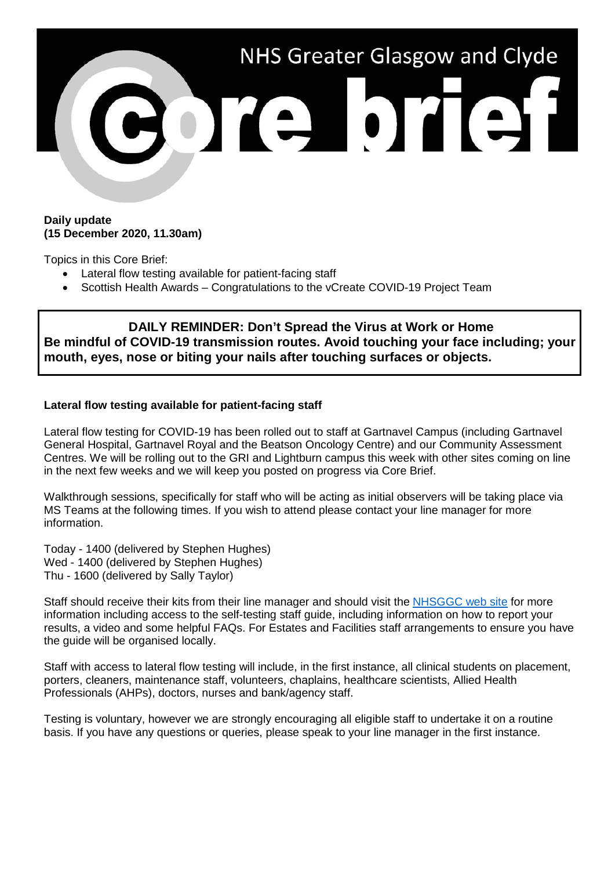

## **Daily update (15 December 2020, 11.30am)**

Topics in this Core Brief:

- Lateral flow testing available for patient-facing staff
- Scottish Health Awards Congratulations to the vCreate COVID-19 Project Team

**DAILY REMINDER: Don't Spread the Virus at Work or Home Be mindful of COVID-19 transmission routes. Avoid touching your face including; your mouth, eyes, nose or biting your nails after touching surfaces or objects.** 

## **Lateral flow testing available for patient-facing staff**

Lateral flow testing for COVID-19 has been rolled out to staff at Gartnavel Campus (including Gartnavel General Hospital, Gartnavel Royal and the Beatson Oncology Centre) and our Community Assessment Centres. We will be rolling out to the GRI and Lightburn campus this week with other sites coming on line in the next few weeks and we will keep you posted on progress via Core Brief.

Walkthrough sessions, specifically for staff who will be acting as initial observers will be taking place via MS Teams at the following times. If you wish to attend please contact your line manager for more information.

Today - 1400 (delivered by Stephen Hughes) Wed - 1400 (delivered by Stephen Hughes) Thu - 1600 (delivered by Sally Taylor)

Staff should receive their kits from their line manager and should visit the [NHSGGC web site](https://www.nhsggc.org.uk/your-health/health-issues/covid-19-coronavirus/for-nhsggc-staff/lateral-flow-device-testing-guidance/) for more information including access to the self-testing staff guide, including information on how to report your results, a video and some helpful FAQs. For Estates and Facilities staff arrangements to ensure you have the quide will be organised locally.

Staff with access to lateral flow testing will include, in the first instance, all clinical students on placement, porters, cleaners, maintenance staff, volunteers, chaplains, healthcare scientists, Allied Health Professionals (AHPs), doctors, nurses and bank/agency staff.

Testing is voluntary, however we are strongly encouraging all eligible staff to undertake it on a routine basis. If you have any questions or queries, please speak to your line manager in the first instance.